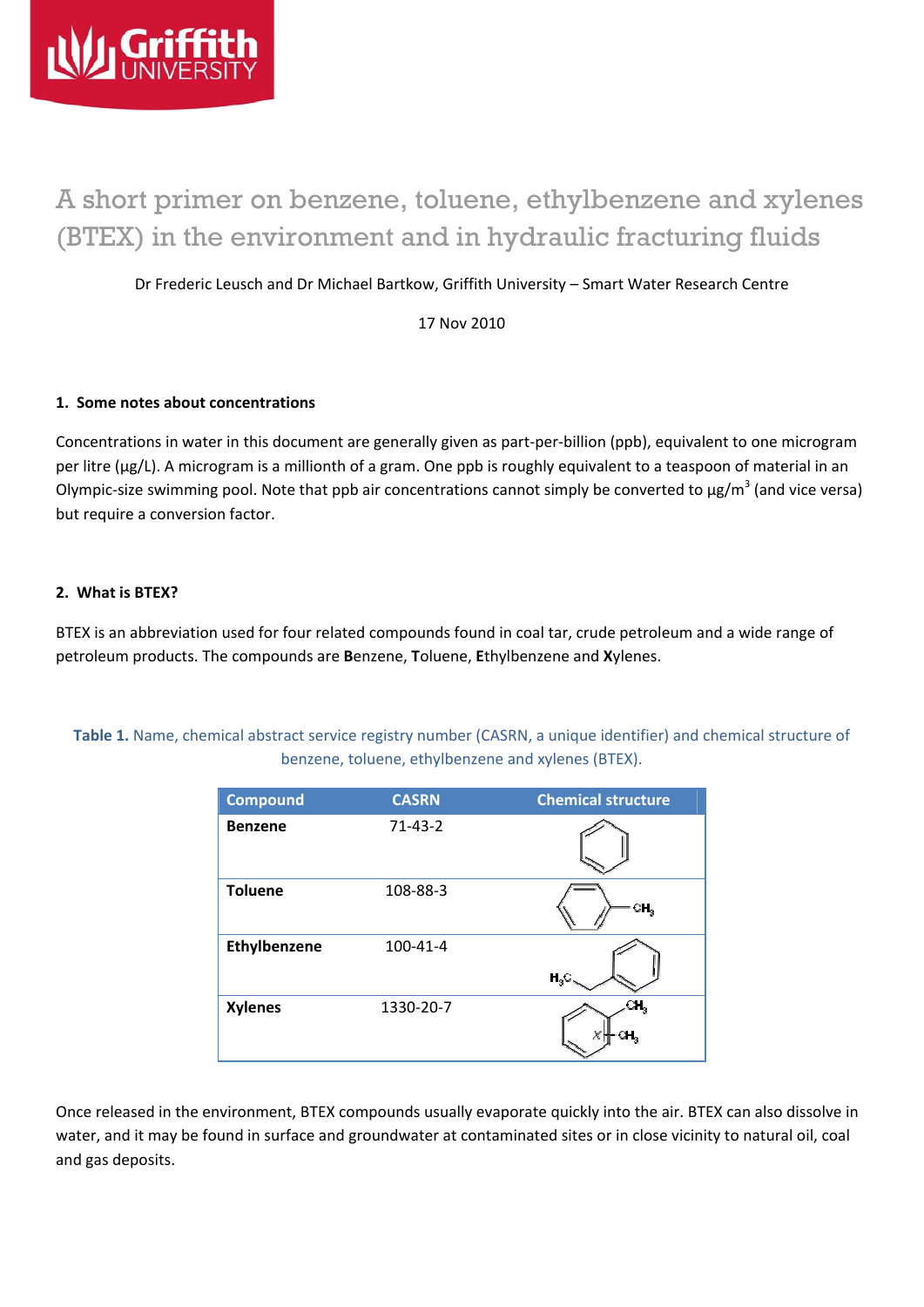

# A short primer on benzene, toluene, ethylbenzene and xylenes (BTEX) in the environment and in hydraulic fracturing fluids

Dr Frederic Leusch and Dr Michael Bartkow, Griffith University – Smart Water Research Centre

17 Nov 2010

#### **1. Some notes about concentrations**

Concentrations in water in this document are generally given as part‐per‐billion (ppb), equivalent to one microgram per litre (µg/L). A microgram is a millionth of a gram. One ppb is roughly equivalent to a teaspoon of material in an Olympic-size swimming pool. Note that ppb air concentrations cannot simply be converted to  $\mu$ g/m<sup>3</sup> (and vice versa) but require a conversion factor.

#### **2. What is BTEX?**

BTEX is an abbreviation used for four related compounds found in coal tar, crude petroleum and a wide range of petroleum products. The compounds are **B**enzene, **T**oluene, **E**thylbenzene and **X**ylenes.

**Table 1.** Name, chemical abstract service registry number (CASRN, a unique identifier) and chemical structure of benzene, toluene, ethylbenzene and xylenes (BTEX).

| <b>Compound</b> | <b>CASRN</b> | <b>Chemical structure</b> |
|-----------------|--------------|---------------------------|
| <b>Benzene</b>  | $71-43-2$    |                           |
| <b>Toluene</b>  | 108-88-3     | CH,                       |
| Ethylbenzene    | 100-41-4     | $H_3C$                    |
| <b>Xylenes</b>  | 1330-20-7    |                           |

Once released in the environment, BTEX compounds usually evaporate quickly into the air. BTEX can also dissolve in water, and it may be found in surface and groundwater at contaminated sites or in close vicinity to natural oil, coal and gas deposits.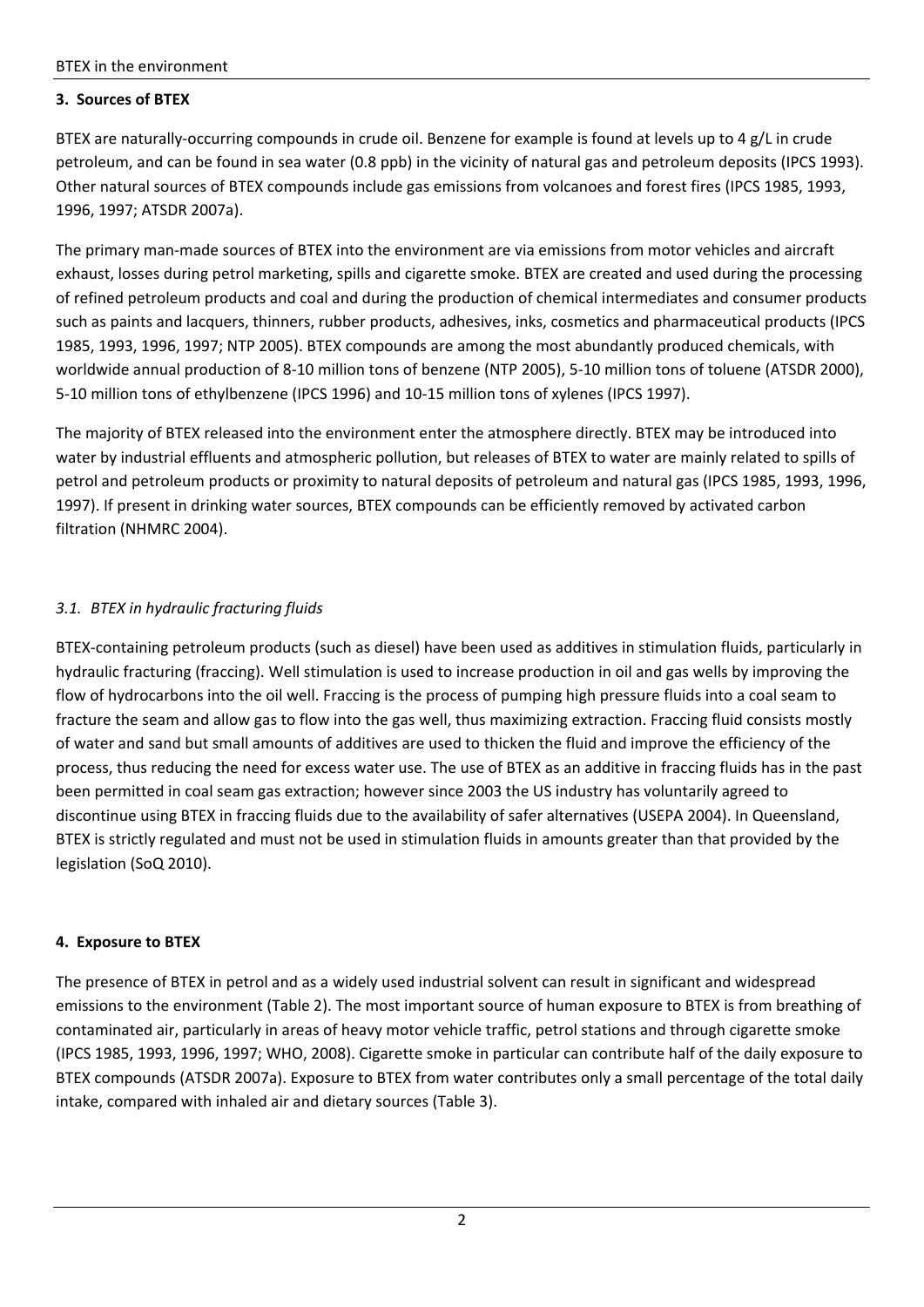## **3. Sources of BTEX**

BTEX are naturally-occurring compounds in crude oil. Benzene for example is found at levels up to 4 g/L in crude petroleum, and can be found in sea water (0.8 ppb) in the vicinity of natural gas and petroleum deposits (IPCS 1993). Other natural sources of BTEX compounds include gas emissions from volcanoes and forest fires (IPCS 1985, 1993, 1996, 1997; ATSDR 2007a).

The primary man‐made sources of BTEX into the environment are via emissions from motor vehicles and aircraft exhaust, losses during petrol marketing, spills and cigarette smoke. BTEX are created and used during the processing of refined petroleum products and coal and during the production of chemical intermediates and consumer products such as paints and lacquers, thinners, rubber products, adhesives, inks, cosmetics and pharmaceutical products (IPCS 1985, 1993, 1996, 1997; NTP 2005). BTEX compounds are among the most abundantly produced chemicals, with worldwide annual production of 8‐10 million tons of benzene (NTP 2005), 5‐10 million tons of toluene (ATSDR 2000), 5‐10 million tons of ethylbenzene (IPCS 1996) and 10‐15 million tons of xylenes (IPCS 1997).

The majority of BTEX released into the environment enter the atmosphere directly. BTEX may be introduced into water by industrial effluents and atmospheric pollution, but releases of BTEX to water are mainly related to spills of petrol and petroleum products or proximity to natural deposits of petroleum and natural gas (IPCS 1985, 1993, 1996, 1997). If present in drinking water sources, BTEX compounds can be efficiently removed by activated carbon filtration (NHMRC 2004).

# *3.1. BTEX in hydraulic fracturing fluids*

BTEX-containing petroleum products (such as diesel) have been used as additives in stimulation fluids, particularly in hydraulic fracturing (fraccing). Well stimulation is used to increase production in oil and gas wells by improving the flow of hydrocarbons into the oil well. Fraccing is the process of pumping high pressure fluids into a coal seam to fracture the seam and allow gas to flow into the gas well, thus maximizing extraction. Fraccing fluid consists mostly of water and sand but small amounts of additives are used to thicken the fluid and improve the efficiency of the process, thus reducing the need for excess water use. The use of BTEX as an additive in fraccing fluids has in the past been permitted in coal seam gas extraction; however since 2003 the US industry has voluntarily agreed to discontinue using BTEX in fraccing fluids due to the availability of safer alternatives (USEPA 2004). In Queensland, BTEX is strictly regulated and must not be used in stimulation fluids in amounts greater than that provided by the legislation (SoQ 2010).

## **4. Exposure to BTEX**

The presence of BTEX in petrol and as a widely used industrial solvent can result in significant and widespread emissions to the environment (Table 2). The most important source of human exposure to BTEX is from breathing of contaminated air, particularly in areas of heavy motor vehicle traffic, petrol stations and through cigarette smoke (IPCS 1985, 1993, 1996, 1997; WHO, 2008). Cigarette smoke in particular can contribute half of the daily exposure to BTEX compounds (ATSDR 2007a). Exposure to BTEX from water contributes only a small percentage of the total daily intake, compared with inhaled air and dietary sources (Table 3).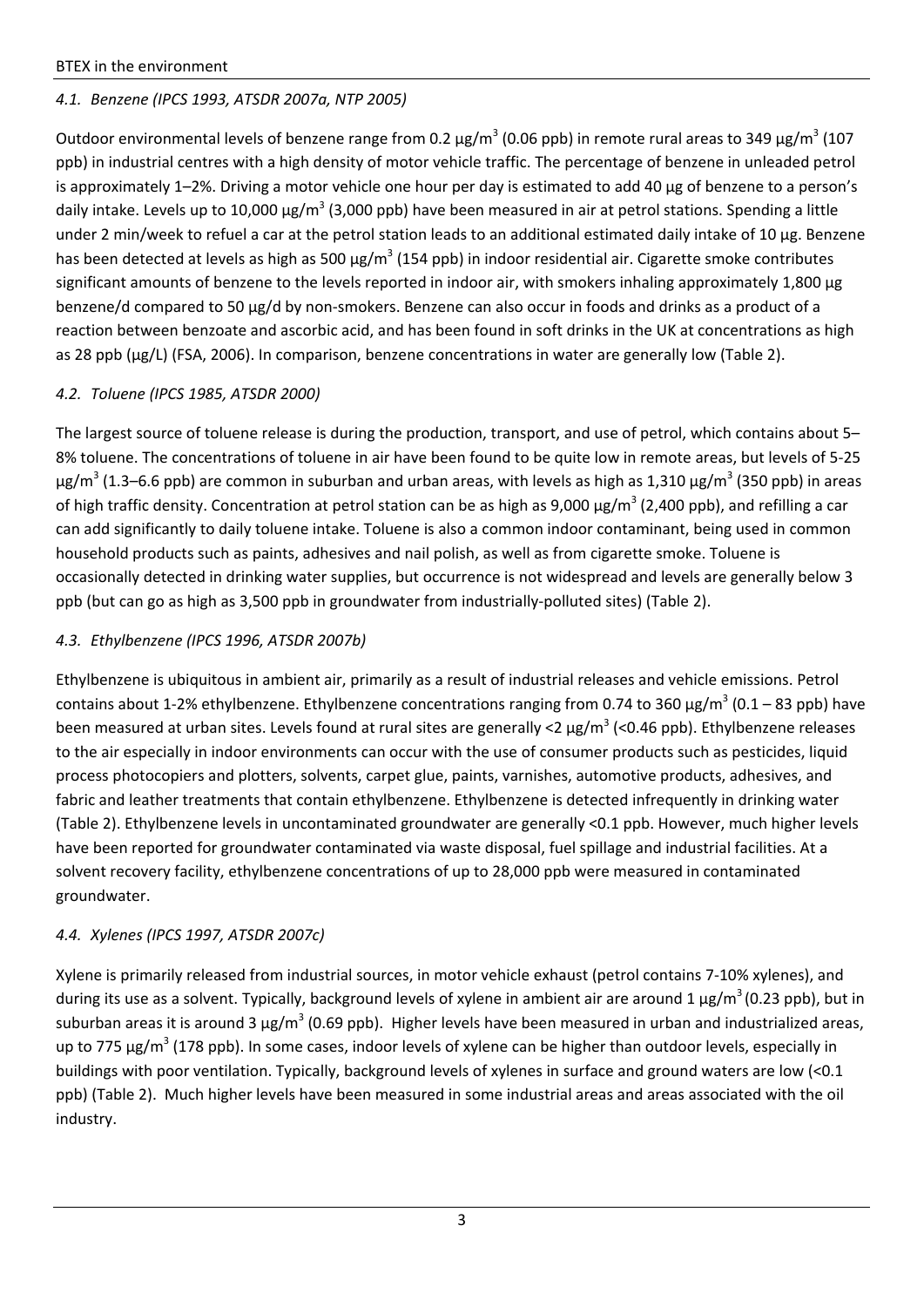# *4.1. Benzene (IPCS 1993, ATSDR 2007a, NTP 2005)*

Outdoor environmental levels of benzene range from 0.2  $\mu$ g/m<sup>3</sup> (0.06 ppb) in remote rural areas to 349  $\mu$ g/m<sup>3</sup> (107 ppb) in industrial centres with a high density of motor vehicle traffic. The percentage of benzene in unleaded petrol is approximately 1–2%. Driving a motor vehicle one hour per day is estimated to add 40 µg of benzene to a person's daily intake. Levels up to 10,000  $\mu$ g/m<sup>3</sup> (3,000 ppb) have been measured in air at petrol stations. Spending a little under 2 min/week to refuel a car at the petrol station leads to an additional estimated daily intake of 10 µg. Benzene has been detected at levels as high as 500  $\mu$ g/m<sup>3</sup> (154 ppb) in indoor residential air. Cigarette smoke contributes significant amounts of benzene to the levels reported in indoor air, with smokers inhaling approximately 1,800 µg benzene/d compared to 50 µg/d by non‐smokers. Benzene can also occur in foods and drinks as a product of a reaction between benzoate and ascorbic acid, and has been found in soft drinks in the UK at concentrations as high as 28 ppb (µg/L) (FSA, 2006). In comparison, benzene concentrations in water are generally low (Table 2).

## *4.2. Toluene (IPCS 1985, ATSDR 2000)*

The largest source of toluene release is during the production, transport, and use of petrol, which contains about 5– 8% toluene. The concentrations of toluene in air have been found to be quite low in remote areas, but levels of 5‐25  $\mu$ g/m<sup>3</sup> (1.3–6.6 ppb) are common in suburban and urban areas, with levels as high as 1,310  $\mu$ g/m<sup>3</sup> (350 ppb) in areas of high traffic density. Concentration at petrol station can be as high as  $9,000 \mu g/m^3$  (2,400 ppb), and refilling a car can add significantly to daily toluene intake. Toluene is also a common indoor contaminant, being used in common household products such as paints, adhesives and nail polish, as well as from cigarette smoke. Toluene is occasionally detected in drinking water supplies, but occurrence is not widespread and levels are generally below 3 ppb (but can go as high as 3,500 ppb in groundwater from industrially‐polluted sites) (Table 2).

## *4.3. Ethylbenzene (IPCS 1996, ATSDR 2007b)*

Ethylbenzene is ubiquitous in ambient air, primarily as a result of industrial releases and vehicle emissions. Petrol contains about 1-2% ethylbenzene. Ethylbenzene concentrations ranging from 0.74 to 360  $\mu$ g/m<sup>3</sup> (0.1 – 83 ppb) have been measured at urban sites. Levels found at rural sites are generally <2  $\mu$ g/m<sup>3</sup> (<0.46 ppb). Ethylbenzene releases to the air especially in indoor environments can occur with the use of consumer products such as pesticides, liquid process photocopiers and plotters, solvents, carpet glue, paints, varnishes, automotive products, adhesives, and fabric and leather treatments that contain ethylbenzene. Ethylbenzene is detected infrequently in drinking water (Table 2). Ethylbenzene levels in uncontaminated groundwater are generally <0.1 ppb. However, much higher levels have been reported for groundwater contaminated via waste disposal, fuel spillage and industrial facilities. At a solvent recovery facility, ethylbenzene concentrations of up to 28,000 ppb were measured in contaminated groundwater.

## *4.4. Xylenes (IPCS 1997, ATSDR 2007c)*

Xylene is primarily released from industrial sources, in motor vehicle exhaust (petrol contains 7‐10% xylenes), and during its use as a solvent. Typically, background levels of xylene in ambient air are around 1  $\mu$ g/m<sup>3</sup> (0.23 ppb), but in suburban areas it is around 3  $\mu$ g/m<sup>3</sup> (0.69 ppb). Higher levels have been measured in urban and industrialized areas, up to 775  $\mu$ g/m<sup>3</sup> (178 ppb). In some cases, indoor levels of xylene can be higher than outdoor levels, especially in buildings with poor ventilation. Typically, background levels of xylenes in surface and ground waters are low (<0.1 ppb) (Table 2). Much higher levels have been measured in some industrial areas and areas associated with the oil industry.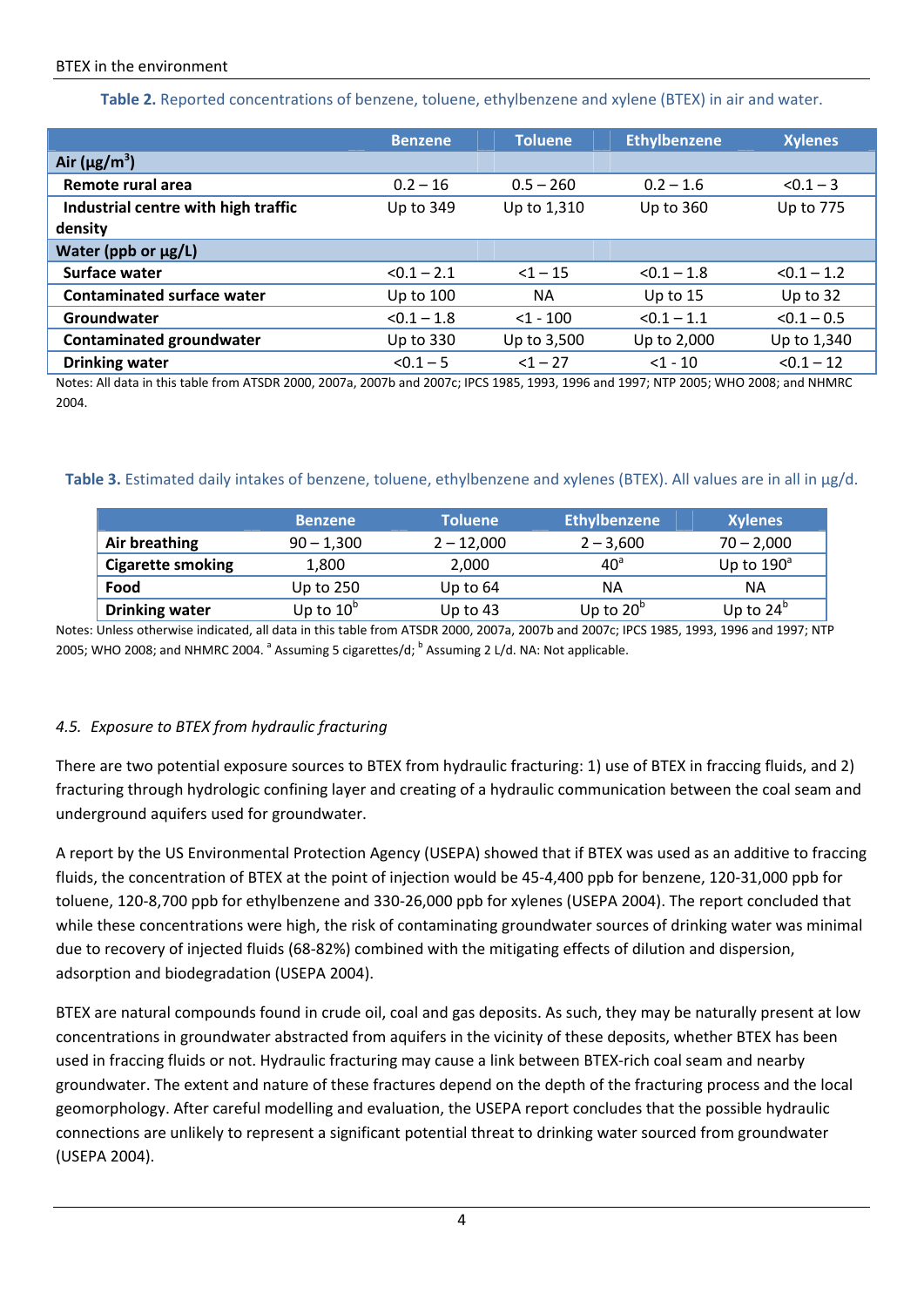**Table 2.** Reported concentrations of benzene, toluene, ethylbenzene and xylene (BTEX) in air and water.

|                                     | <b>Benzene</b> | <b>Toluene</b> | <b>Ethylbenzene</b> | <b>Xylenes</b> |
|-------------------------------------|----------------|----------------|---------------------|----------------|
| Air ( $\mu$ g/m <sup>3</sup> )      |                |                |                     |                |
| Remote rural area                   | $0.2 - 16$     | $0.5 - 260$    | $0.2 - 1.6$         | $< 0.1 - 3$    |
| Industrial centre with high traffic | Up to 349      | Up to 1,310    | Up to 360           | Up to 775      |
| density                             |                |                |                     |                |
| Water (ppb or $\mu$ g/L)            |                |                |                     |                |
| Surface water                       | $< 0.1 - 2.1$  | $<1 - 15$      | $< 0.1 - 1.8$       | $< 0.1 - 1.2$  |
| <b>Contaminated surface water</b>   | Up to 100      | <b>NA</b>      | Up to $15$          | Up to 32       |
| Groundwater                         | $< 0.1 - 1.8$  | $<$ 1 - 100    | $< 0.1 - 1.1$       | $< 0.1 - 0.5$  |
| <b>Contaminated groundwater</b>     | Up to 330      | Up to 3,500    | Up to 2,000         | Up to 1,340    |
| <b>Drinking water</b>               | $< 0.1 - 5$    | $<1 - 27$      | $<1 - 10$           | $< 0.1 - 12$   |

Notes: All data in this table from ATSDR 2000, 2007a, 2007b and 2007c; IPCS 1985, 1993, 1996 and 1997; NTP 2005; WHO 2008; and NHMRC 2004.

#### **Table 3.** Estimated daily intakes of benzene, toluene, ethylbenzene and xylenes (BTEX). All values are in all in µg/d.

|                          | <b>Benzene</b> | <b>Toluene</b> | <b>Ethylbenzene</b> | <b>Xylenes</b>      |
|--------------------------|----------------|----------------|---------------------|---------------------|
| Air breathing            | $90 - 1,300$   | $2 - 12,000$   | $2 - 3,600$         | $70 - 2,000$        |
| <b>Cigarette smoking</b> | 1,800          | 2,000          | 40 <sup>a</sup>     | Up to $190^{\circ}$ |
| Food                     | Up to 250      | Up to $64$     | ΝA                  | ΝA                  |
| <b>Drinking water</b>    | Up to $10^6$   | Up to $43$     | Up to $20^{\circ}$  | Up to $24^{\circ}$  |

Notes: Unless otherwise indicated, all data in this table from ATSDR 2000, 2007a, 2007b and 2007c; IPCS 1985, 1993, 1996 and 1997; NTP 2005; WHO 2008; and NHMRC 2004.  $^{\circ}$  Assuming 5 cigarettes/d;  $^{\circ}$  Assuming 2 L/d. NA: Not applicable.

## *4.5. Exposure to BTEX from hydraulic fracturing*

There are two potential exposure sources to BTEX from hydraulic fracturing: 1) use of BTEX in fraccing fluids, and 2) fracturing through hydrologic confining layer and creating of a hydraulic communication between the coal seam and underground aquifers used for groundwater.

A report by the US Environmental Protection Agency (USEPA) showed that if BTEX was used as an additive to fraccing fluids, the concentration of BTEX at the point of injection would be 45‐4,400 ppb for benzene, 120‐31,000 ppb for toluene, 120‐8,700 ppb for ethylbenzene and 330‐26,000 ppb for xylenes (USEPA 2004). The report concluded that while these concentrations were high, the risk of contaminating groundwater sources of drinking water was minimal due to recovery of injected fluids (68‐82%) combined with the mitigating effects of dilution and dispersion, adsorption and biodegradation (USEPA 2004).

BTEX are natural compounds found in crude oil, coal and gas deposits. As such, they may be naturally present at low concentrations in groundwater abstracted from aquifers in the vicinity of these deposits, whether BTEX has been used in fraccing fluids or not. Hydraulic fracturing may cause a link between BTEX-rich coal seam and nearby groundwater. The extent and nature of these fractures depend on the depth of the fracturing process and the local geomorphology. After careful modelling and evaluation, the USEPA report concludes that the possible hydraulic connections are unlikely to represent a significant potential threat to drinking water sourced from groundwater (USEPA 2004).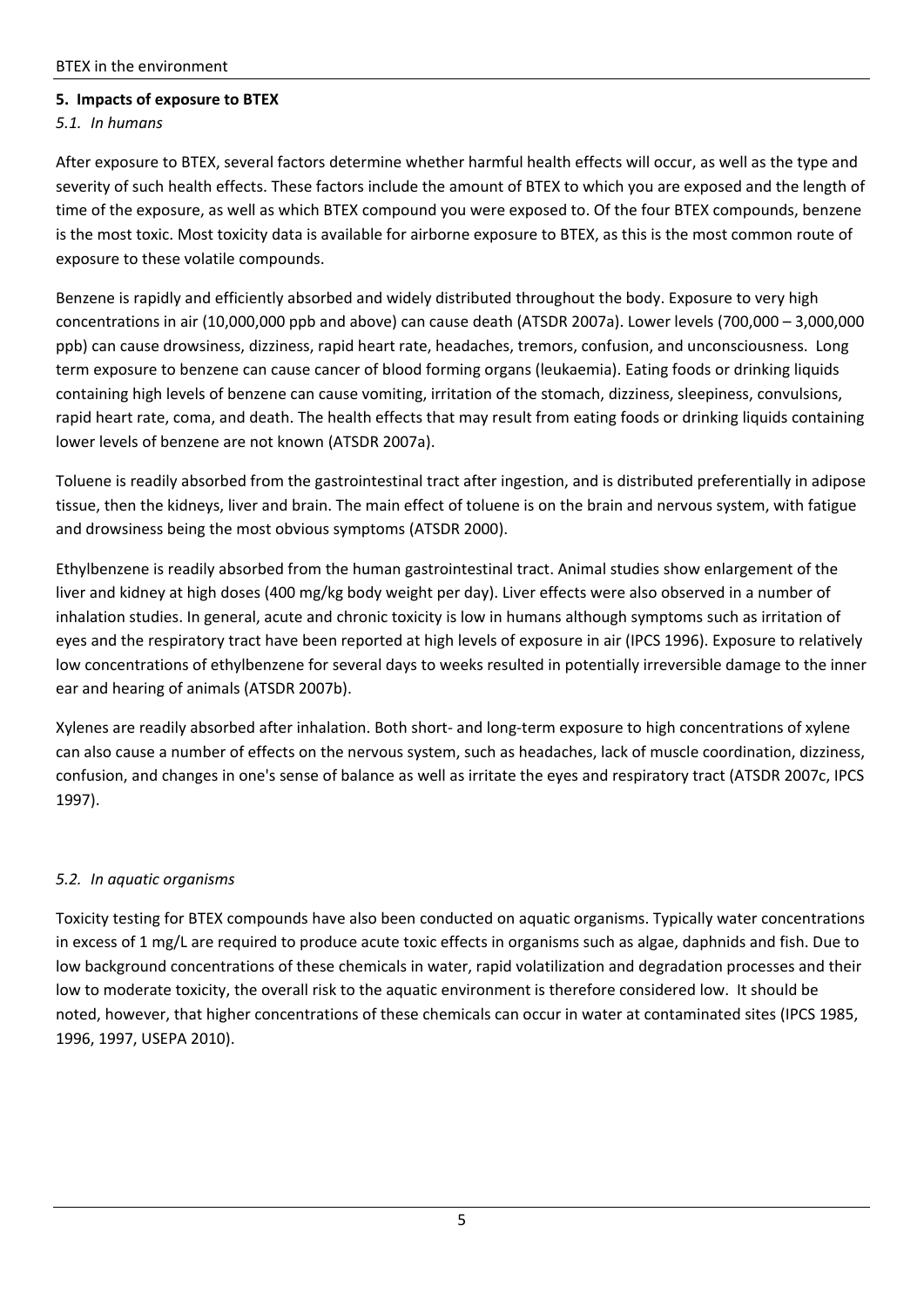#### **5. Impacts of exposure to BTEX**

#### *5.1. In humans*

After exposure to BTEX, several factors determine whether harmful health effects will occur, as well as the type and severity of such health effects. These factors include the amount of BTEX to which you are exposed and the length of time of the exposure, as well as which BTEX compound you were exposed to. Of the four BTEX compounds, benzene is the most toxic. Most toxicity data is available for airborne exposure to BTEX, as this is the most common route of exposure to these volatile compounds.

Benzene is rapidly and efficiently absorbed and widely distributed throughout the body. Exposure to very high concentrations in air (10,000,000 ppb and above) can cause death (ATSDR 2007a). Lower levels (700,000 – 3,000,000 ppb) can cause drowsiness, dizziness, rapid heart rate, headaches, tremors, confusion, and unconsciousness. Long term exposure to benzene can cause cancer of blood forming organs (leukaemia). Eating foods or drinking liquids containing high levels of benzene can cause vomiting, irritation of the stomach, dizziness, sleepiness, convulsions, rapid heart rate, coma, and death. The health effects that may result from eating foods or drinking liquids containing lower levels of benzene are not known (ATSDR 2007a).

Toluene is readily absorbed from the gastrointestinal tract after ingestion, and is distributed preferentially in adipose tissue, then the kidneys, liver and brain. The main effect of toluene is on the brain and nervous system, with fatigue and drowsiness being the most obvious symptoms (ATSDR 2000).

Ethylbenzene is readily absorbed from the human gastrointestinal tract. Animal studies show enlargement of the liver and kidney at high doses (400 mg/kg body weight per day). Liver effects were also observed in a number of inhalation studies. In general, acute and chronic toxicity is low in humans although symptoms such as irritation of eyes and the respiratory tract have been reported at high levels of exposure in air (IPCS 1996). Exposure to relatively low concentrations of ethylbenzene for several days to weeks resulted in potentially irreversible damage to the inner ear and hearing of animals (ATSDR 2007b).

Xylenes are readily absorbed after inhalation. Both short‐ and long‐term exposure to high concentrations of xylene can also cause a number of effects on the nervous system, such as headaches, lack of muscle coordination, dizziness, confusion, and changes in one's sense of balance as well as irritate the eyes and respiratory tract (ATSDR 2007c, IPCS 1997).

#### *5.2. In aquatic organisms*

Toxicity testing for BTEX compounds have also been conducted on aquatic organisms. Typically water concentrations in excess of 1 mg/L are required to produce acute toxic effects in organisms such as algae, daphnids and fish. Due to low background concentrations of these chemicals in water, rapid volatilization and degradation processes and their low to moderate toxicity, the overall risk to the aquatic environment is therefore considered low. It should be noted, however, that higher concentrations of these chemicals can occur in water at contaminated sites (IPCS 1985, 1996, 1997, USEPA 2010).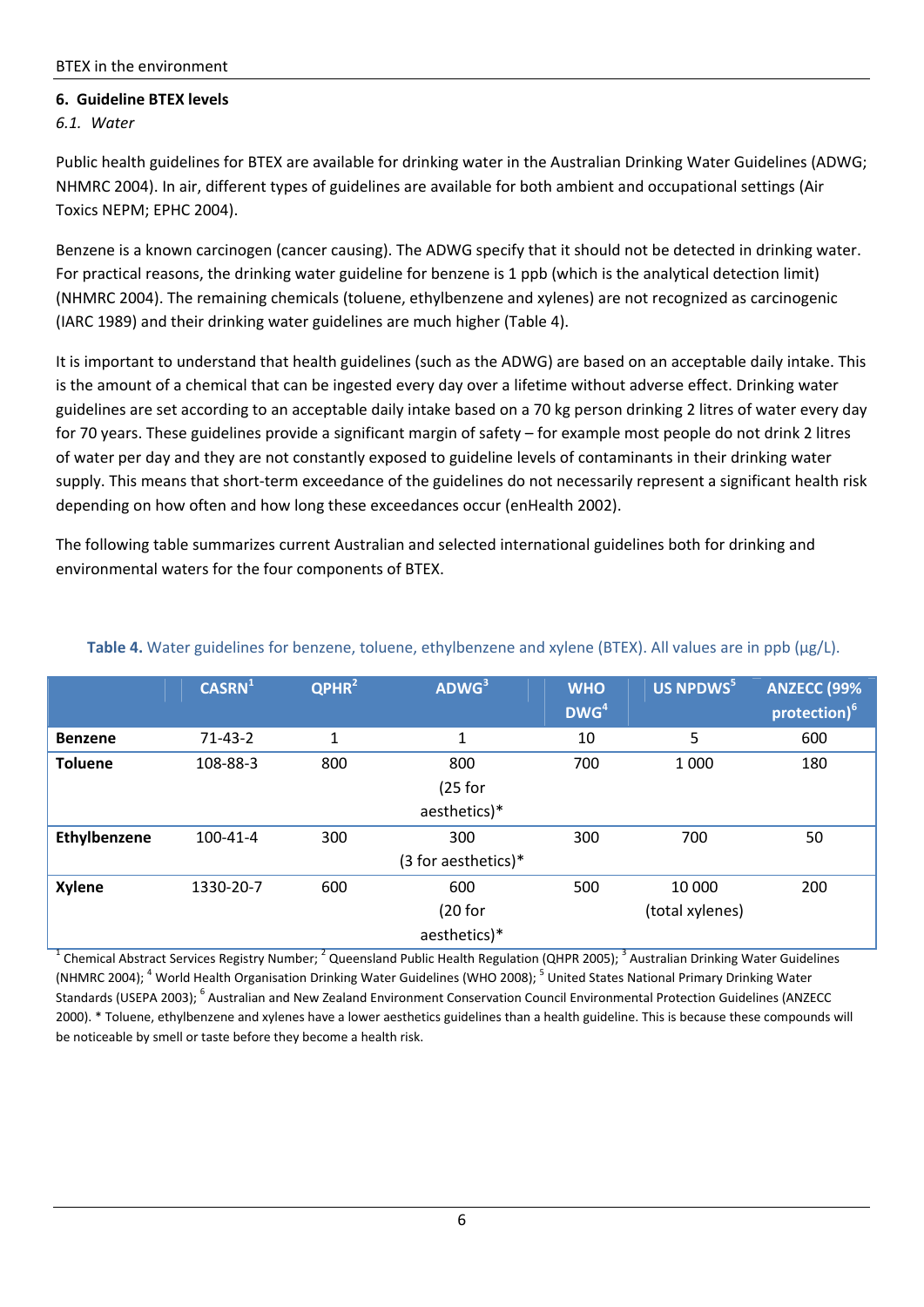## **6. Guideline BTEX levels**

*6.1. Water*

Public health guidelines for BTEX are available for drinking water in the Australian Drinking Water Guidelines (ADWG; NHMRC 2004). In air, different types of guidelines are available for both ambient and occupational settings (Air Toxics NEPM; EPHC 2004).

Benzene is a known carcinogen (cancer causing). The ADWG specify that it should not be detected in drinking water. For practical reasons, the drinking water guideline for benzene is 1 ppb (which is the analytical detection limit) (NHMRC 2004). The remaining chemicals (toluene, ethylbenzene and xylenes) are not recognized as carcinogenic (IARC 1989) and their drinking water guidelines are much higher (Table 4).

It is important to understand that health guidelines (such as the ADWG) are based on an acceptable daily intake. This is the amount of a chemical that can be ingested every day over a lifetime without adverse effect. Drinking water guidelines are set according to an acceptable daily intake based on a 70 kg person drinking 2 litres of water every day for 70 years. These guidelines provide a significant margin of safety – for example most people do not drink 2 litres of water per day and they are not constantly exposed to guideline levels of contaminants in their drinking water supply. This means that short-term exceedance of the guidelines do not necessarily represent a significant health risk depending on how often and how long these exceedances occur (enHealth 2002).

The following table summarizes current Australian and selected international guidelines both for drinking and environmental waters for the four components of BTEX.

|                | CASRN <sup>1</sup> | QPHR <sup>2</sup> | ADWG <sup>3</sup>   | <b>WHO</b>       | US NPDWS <sup>5</sup> | <b>ANZECC (99%</b>       |
|----------------|--------------------|-------------------|---------------------|------------------|-----------------------|--------------------------|
|                |                    |                   |                     | DWG <sup>4</sup> |                       | protection) <sup>6</sup> |
| <b>Benzene</b> | $71 - 43 - 2$      | 1                 | 1                   | 10               | 5                     | 600                      |
| <b>Toluene</b> | 108-88-3           | 800               | 800                 | 700              | 1 0 0 0               | 180                      |
|                |                    |                   | $(25$ for           |                  |                       |                          |
|                |                    |                   | aesthetics)*        |                  |                       |                          |
| Ethylbenzene   | 100-41-4           | 300               | 300                 | 300              | 700                   | 50                       |
|                |                    |                   | (3 for aesthetics)* |                  |                       |                          |
| <b>Xylene</b>  | 1330-20-7          | 600               | 600                 | 500              | 10 000                | 200                      |
|                |                    |                   | (20 for             |                  | (total xylenes)       |                          |
|                |                    |                   | aesthetics)*        |                  |                       |                          |

## **Table 4.** Water guidelines for benzene, toluene, ethylbenzene and xylene (BTEX). All values are in ppb (µg/L).

<sup>1</sup> Chemical Abstract Services Registry Number; <sup>2</sup> Queensland Public Health Regulation (QHPR 2005); <sup>3</sup> Australian Drinking Water Guidelines (NHMRC 2004); <sup>4</sup> World Health Organisation Drinking Water Guidelines (WHO 2008); <sup>5</sup> United States National Primary Drinking Water Standards (USEPA 2003); <sup>6</sup> Australian and New Zealand Environment Conservation Council Environmental Protection Guidelines (ANZECC 2000). \* Toluene, ethylbenzene and xylenes have a lower aesthetics guidelines than a health guideline. This is because these compounds will be noticeable by smell or taste before they become a health risk.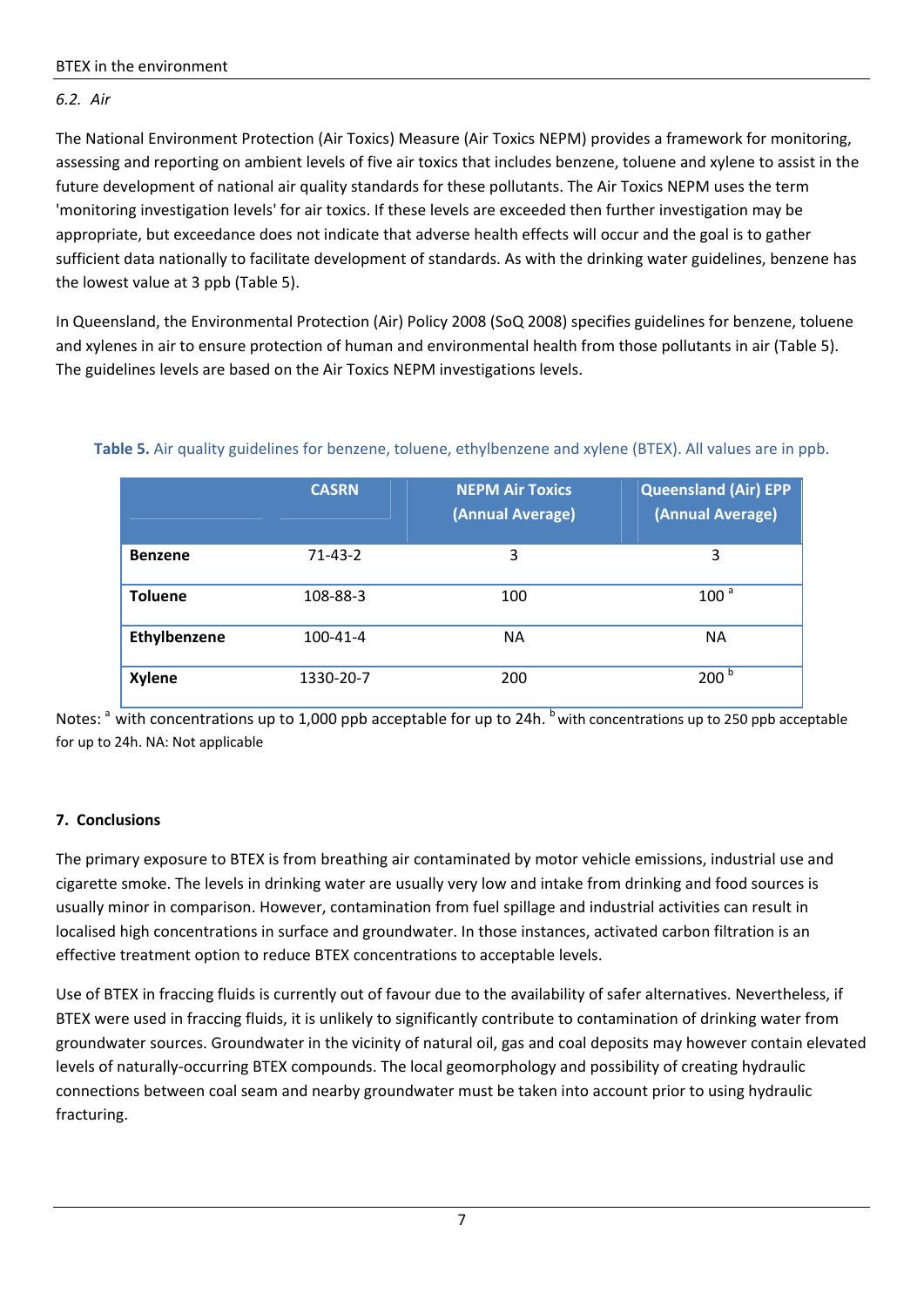# *6.2. Air*

The National Environment Protection (Air Toxics) Measure (Air Toxics NEPM) provides a framework for monitoring, assessing and reporting on ambient levels of five air toxics that includes benzene, toluene and xylene to assist in the future development of national air quality standards for these pollutants. The Air Toxics NEPM uses the term 'monitoring investigation levels' for air toxics. If these levels are exceeded then further investigation may be appropriate, but exceedance does not indicate that adverse health effects will occur and the goal is to gather sufficient data nationally to facilitate development of standards. As with the drinking water guidelines, benzene has the lowest value at 3 ppb (Table 5).

In Queensland, the Environmental Protection (Air) Policy 2008 (SoQ 2008) specifies guidelines for benzene, toluene and xylenes in air to ensure protection of human and environmental health from those pollutants in air (Table 5). The guidelines levels are based on the Air Toxics NEPM investigations levels.

|                | <b>CASRN</b> | <b>NEPM Air Toxics</b><br>(Annual Average) | <b>Queensland (Air) EPP</b><br>(Annual Average) |
|----------------|--------------|--------------------------------------------|-------------------------------------------------|
| <b>Benzene</b> | $71-43-2$    | 3                                          | 3                                               |
| <b>Toluene</b> | 108-88-3     | 100                                        | 100 <sup>a</sup>                                |
| Ethylbenzene   | 100-41-4     | <b>NA</b>                                  | <b>NA</b>                                       |
| <b>Xylene</b>  | 1330-20-7    | 200                                        | 200 <sup>b</sup>                                |

**Table 5.** Air quality guidelines for benzene, toluene, ethylbenzene and xylene (BTEX). All values are in ppb.

Notes: <sup>a</sup> with concentrations up to 1,000 ppb acceptable for up to 24h. <sup>b</sup> with concentrations up to 250 ppb acceptable for up to 24h. NA: Not applicable

# **7. Conclusions**

The primary exposure to BTEX is from breathing air contaminated by motor vehicle emissions, industrial use and cigarette smoke. The levels in drinking water are usually very low and intake from drinking and food sources is usually minor in comparison. However, contamination from fuel spillage and industrial activities can result in localised high concentrations in surface and groundwater. In those instances, activated carbon filtration is an effective treatment option to reduce BTEX concentrations to acceptable levels.

Use of BTEX in fraccing fluids is currently out of favour due to the availability of safer alternatives. Nevertheless, if BTEX were used in fraccing fluids, it is unlikely to significantly contribute to contamination of drinking water from groundwater sources. Groundwater in the vicinity of natural oil, gas and coal deposits may however contain elevated levels of naturally‐occurring BTEX compounds. The local geomorphology and possibility of creating hydraulic connections between coal seam and nearby groundwater must be taken into account prior to using hydraulic fracturing.